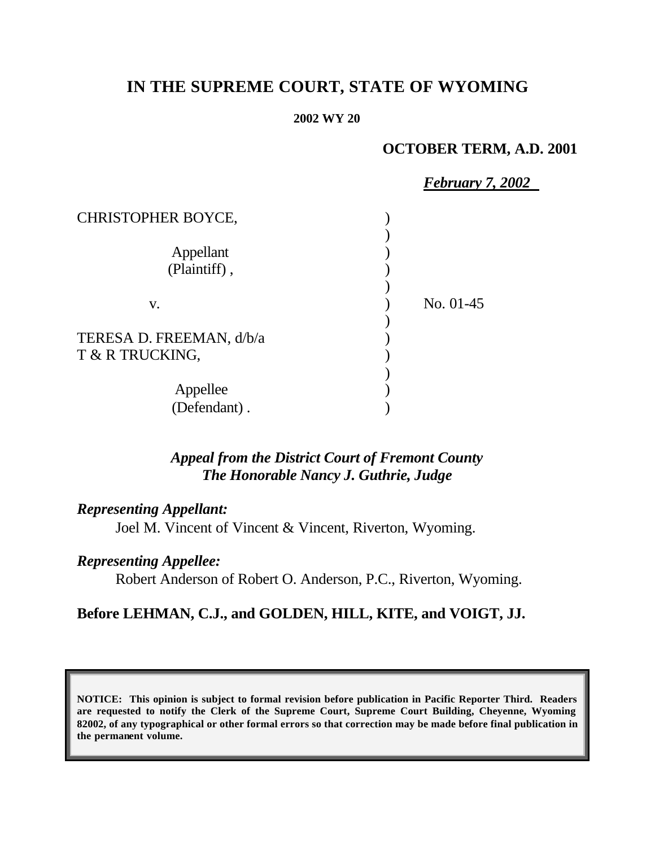# **IN THE SUPREME COURT, STATE OF WYOMING**

#### **2002 WY 20**

### **OCTOBER TERM, A.D. 2001**

|                           | <b>February 7, 2002</b> |  |
|---------------------------|-------------------------|--|
| <b>CHRISTOPHER BOYCE,</b> |                         |  |
|                           |                         |  |
| Appellant                 |                         |  |
| (Plaintiff),              |                         |  |
|                           |                         |  |
| V.                        | No. 01-45               |  |
|                           |                         |  |
| TERESA D. FREEMAN, d/b/a  |                         |  |
| T & R TRUCKING,           |                         |  |
|                           |                         |  |
| Appellee                  |                         |  |
| (Defendant).              |                         |  |

## *Appeal from the District Court of Fremont County The Honorable Nancy J. Guthrie, Judge*

### *Representing Appellant:*

Joel M. Vincent of Vincent & Vincent, Riverton, Wyoming.

### *Representing Appellee:*

Robert Anderson of Robert O. Anderson, P.C., Riverton, Wyoming.

## **Before LEHMAN, C.J., and GOLDEN, HILL, KITE, and VOIGT, JJ.**

**NOTICE: This opinion is subject to formal revision before publication in Pacific Reporter Third. Readers are requested to notify the Clerk of the Supreme Court, Supreme Court Building, Cheyenne, Wyoming 82002, of any typographical or other formal errors so that correction may be made before final publication in the permanent volume.**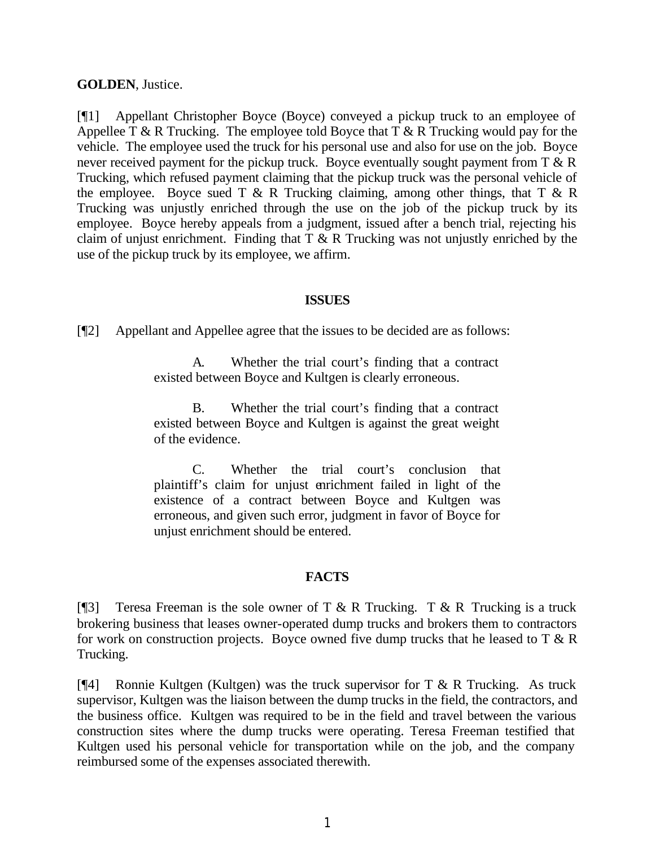### **GOLDEN**, Justice.

[¶1] Appellant Christopher Boyce (Boyce) conveyed a pickup truck to an employee of Appellee T & R Trucking. The employee told Boyce that  $T \& R$  Trucking would pay for the vehicle. The employee used the truck for his personal use and also for use on the job. Boyce never received payment for the pickup truck. Boyce eventually sought payment from  $T \& R$ Trucking, which refused payment claiming that the pickup truck was the personal vehicle of the employee. Boyce sued T  $\&$  R Trucking claiming, among other things, that T  $\&$  R Trucking was unjustly enriched through the use on the job of the pickup truck by its employee. Boyce hereby appeals from a judgment, issued after a bench trial, rejecting his claim of unjust enrichment. Finding that  $T \& R$  Trucking was not unjustly enriched by the use of the pickup truck by its employee, we affirm.

#### **ISSUES**

[¶2] Appellant and Appellee agree that the issues to be decided are as follows:

A. Whether the trial court's finding that a contract existed between Boyce and Kultgen is clearly erroneous.

B. Whether the trial court's finding that a contract existed between Boyce and Kultgen is against the great weight of the evidence.

C. Whether the trial court's conclusion that plaintiff's claim for unjust enrichment failed in light of the existence of a contract between Boyce and Kultgen was erroneous, and given such error, judgment in favor of Boyce for unjust enrichment should be entered.

### **FACTS**

[ $[$ ]] Teresa Freeman is the sole owner of T & R Trucking. T & R Trucking is a truck brokering business that leases owner-operated dump trucks and brokers them to contractors for work on construction projects. Boyce owned five dump trucks that he leased to  $T \& R$ Trucking.

[¶4] Ronnie Kultgen (Kultgen) was the truck supervisor for T & R Trucking. As truck supervisor, Kultgen was the liaison between the dump trucks in the field, the contractors, and the business office. Kultgen was required to be in the field and travel between the various construction sites where the dump trucks were operating. Teresa Freeman testified that Kultgen used his personal vehicle for transportation while on the job, and the company reimbursed some of the expenses associated therewith.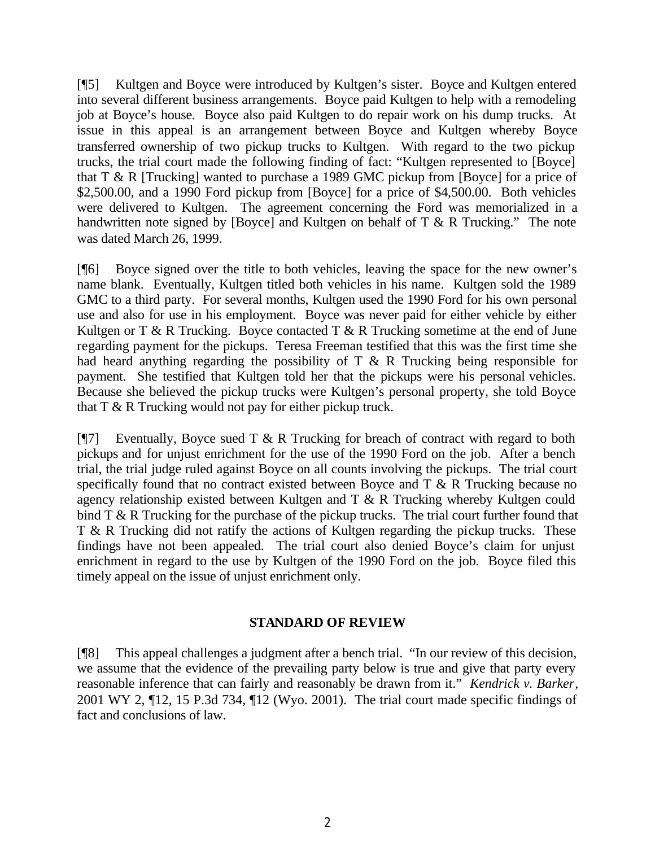[¶5] Kultgen and Boyce were introduced by Kultgen's sister. Boyce and Kultgen entered into several different business arrangements. Boyce paid Kultgen to help with a remodeling job at Boyce's house. Boyce also paid Kultgen to do repair work on his dump trucks. At issue in this appeal is an arrangement between Boyce and Kultgen whereby Boyce transferred ownership of two pickup trucks to Kultgen. With regard to the two pickup trucks, the trial court made the following finding of fact: "Kultgen represented to [Boyce] that T & R [Trucking] wanted to purchase a 1989 GMC pickup from [Boyce] for a price of \$2,500.00, and a 1990 Ford pickup from [Boyce] for a price of \$4,500.00. Both vehicles were delivered to Kultgen. The agreement concerning the Ford was memorialized in a handwritten note signed by [Boyce] and Kultgen on behalf of T & R Trucking." The note was dated March 26, 1999.

[¶6] Boyce signed over the title to both vehicles, leaving the space for the new owner's name blank. Eventually, Kultgen titled both vehicles in his name. Kultgen sold the 1989 GMC to a third party. For several months, Kultgen used the 1990 Ford for his own personal use and also for use in his employment. Boyce was never paid for either vehicle by either Kultgen or T & R Trucking. Boyce contacted T & R Trucking sometime at the end of June regarding payment for the pickups. Teresa Freeman testified that this was the first time she had heard anything regarding the possibility of T & R Trucking being responsible for payment. She testified that Kultgen told her that the pickups were his personal vehicles. Because she believed the pickup trucks were Kultgen's personal property, she told Boyce that T & R Trucking would not pay for either pickup truck.

 $[97]$  Eventually, Boyce sued T & R Trucking for breach of contract with regard to both pickups and for unjust enrichment for the use of the 1990 Ford on the job. After a bench trial, the trial judge ruled against Boyce on all counts involving the pickups. The trial court specifically found that no contract existed between Boyce and T & R Trucking because no agency relationship existed between Kultgen and T & R Trucking whereby Kultgen could bind T & R Trucking for the purchase of the pickup trucks. The trial court further found that T & R Trucking did not ratify the actions of Kultgen regarding the pickup trucks. These findings have not been appealed. The trial court also denied Boyce's claim for unjust enrichment in regard to the use by Kultgen of the 1990 Ford on the job. Boyce filed this timely appeal on the issue of unjust enrichment only.

### **STANDARD OF REVIEW**

[¶8] This appeal challenges a judgment after a bench trial. "In our review of this decision, we assume that the evidence of the prevailing party below is true and give that party every reasonable inference that can fairly and reasonably be drawn from it." *Kendrick v. Barker*, 2001 WY 2, ¶12, 15 P.3d 734, ¶12 (Wyo. 2001). The trial court made specific findings of fact and conclusions of law.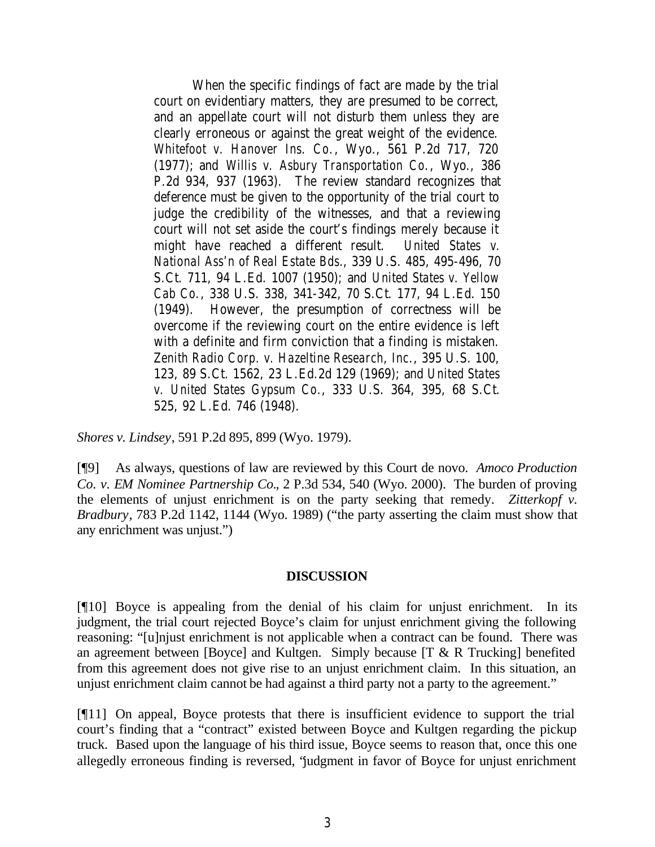When the specific findings of fact are made by the trial court on evidentiary matters, they are presumed to be correct, and an appellate court will not disturb them unless they are clearly erroneous or against the great weight of the evidence. *Whitefoot v. Hanover Ins. Co.*, Wyo., 561 P.2d 717, 720 (1977); and *Willis v. Asbury Transportation Co.*, Wyo., 386 P.2d 934, 937 (1963). The review standard recognizes that deference must be given to the opportunity of the trial court to judge the credibility of the witnesses, and that a reviewing court will not set aside the court's findings merely because it might have reached a different result. *United States v. National Ass'n of Real Estate Bds.*, 339 U.S. 485, 495-496, 70 S.Ct. 711, 94 L.Ed. 1007 (1950); and *United States v. Yellow Cab Co.*, 338 U.S. 338, 341-342, 70 S.Ct. 177, 94 L.Ed. 150 (1949). However, the presumption of correctness will be overcome if the reviewing court on the entire evidence is left with a definite and firm conviction that a finding is mistaken. *Zenith Radio Corp. v. Hazeltine Research, Inc*., 395 U.S. 100, 123, 89 S.Ct. 1562, 23 L.Ed.2d 129 (1969); and *United States v. United States Gypsum Co.*, 333 U.S. 364, 395, 68 S.Ct. 525, 92 L.Ed. 746 (1948).

*Shores v. Lindsey*, 591 P.2d 895, 899 (Wyo. 1979).

[¶9] As always, questions of law are reviewed by this Court de novo. *Amoco Production Co. v. EM Nominee Partnership Co.*, 2 P.3d 534, 540 (Wyo. 2000). The burden of proving the elements of unjust enrichment is on the party seeking that remedy. *Zitterkopf v. Bradbury*, 783 P.2d 1142, 1144 (Wyo. 1989) ("the party asserting the claim must show that any enrichment was unjust.")

#### **DISCUSSION**

[¶10] Boyce is appealing from the denial of his claim for unjust enrichment. In its judgment, the trial court rejected Boyce's claim for unjust enrichment giving the following reasoning: "[u]njust enrichment is not applicable when a contract can be found. There was an agreement between [Boyce] and Kultgen. Simply because  $[T \& R]$  Trucking] benefited from this agreement does not give rise to an unjust enrichment claim. In this situation, an unjust enrichment claim cannot be had against a third party not a party to the agreement."

[¶11] On appeal, Boyce protests that there is insufficient evidence to support the trial court's finding that a "contract" existed between Boyce and Kultgen regarding the pickup truck. Based upon the language of his third issue, Boyce seems to reason that, once this one allegedly erroneous finding is reversed, "judgment in favor of Boyce for unjust enrichment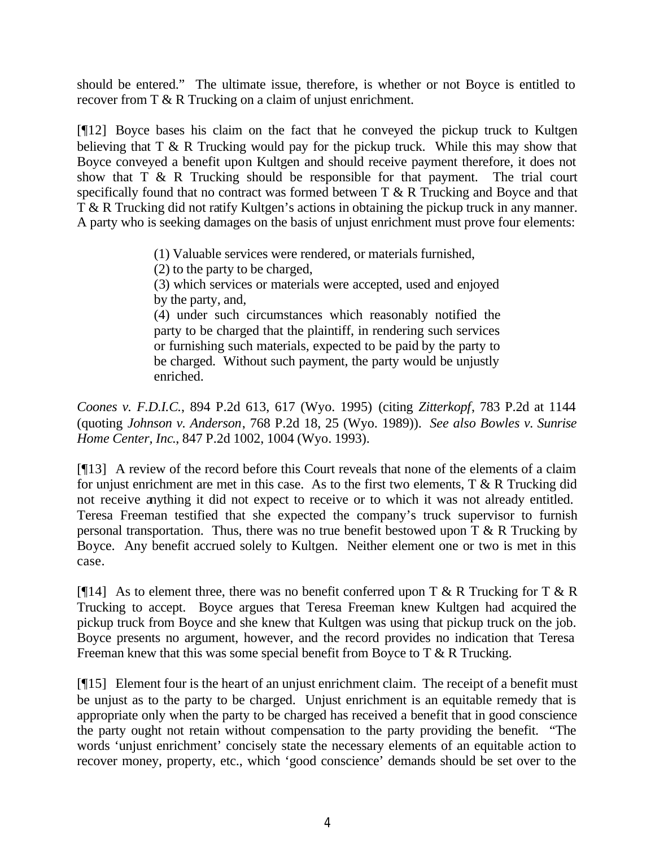should be entered." The ultimate issue, therefore, is whether or not Boyce is entitled to recover from T & R Trucking on a claim of unjust enrichment.

[¶12] Boyce bases his claim on the fact that he conveyed the pickup truck to Kultgen believing that T & R Trucking would pay for the pickup truck. While this may show that Boyce conveyed a benefit upon Kultgen and should receive payment therefore, it does not show that T & R Trucking should be responsible for that payment. The trial court specifically found that no contract was formed between T & R Trucking and Boyce and that T & R Trucking did not ratify Kultgen's actions in obtaining the pickup truck in any manner. A party who is seeking damages on the basis of unjust enrichment must prove four elements:

(1) Valuable services were rendered, or materials furnished,

(2) to the party to be charged,

(3) which services or materials were accepted, used and enjoyed by the party, and,

(4) under such circumstances which reasonably notified the party to be charged that the plaintiff, in rendering such services or furnishing such materials, expected to be paid by the party to be charged. Without such payment, the party would be unjustly enriched.

*Coones v. F.D.I.C.*, 894 P.2d 613, 617 (Wyo. 1995) (citing *Zitterkopf*, 783 P.2d at 1144 (quoting *Johnson v. Anderson*, 768 P.2d 18, 25 (Wyo. 1989)). *See also Bowles v. Sunrise Home Center, Inc*., 847 P.2d 1002, 1004 (Wyo. 1993).

[¶13] A review of the record before this Court reveals that none of the elements of a claim for unjust enrichment are met in this case. As to the first two elements, T & R Trucking did not receive anything it did not expect to receive or to which it was not already entitled. Teresa Freeman testified that she expected the company's truck supervisor to furnish personal transportation. Thus, there was no true benefit bestowed upon  $T \& R$  Trucking by Boyce. Any benefit accrued solely to Kultgen. Neither element one or two is met in this case.

[ $[$ [14] As to element three, there was no benefit conferred upon T & R Trucking for T & R Trucking to accept. Boyce argues that Teresa Freeman knew Kultgen had acquired the pickup truck from Boyce and she knew that Kultgen was using that pickup truck on the job. Boyce presents no argument, however, and the record provides no indication that Teresa Freeman knew that this was some special benefit from Boyce to  $T \& R$  Trucking.

[¶15] Element four is the heart of an unjust enrichment claim. The receipt of a benefit must be unjust as to the party to be charged. Unjust enrichment is an equitable remedy that is appropriate only when the party to be charged has received a benefit that in good conscience the party ought not retain without compensation to the party providing the benefit. "The words 'unjust enrichment' concisely state the necessary elements of an equitable action to recover money, property, etc., which 'good conscience' demands should be set over to the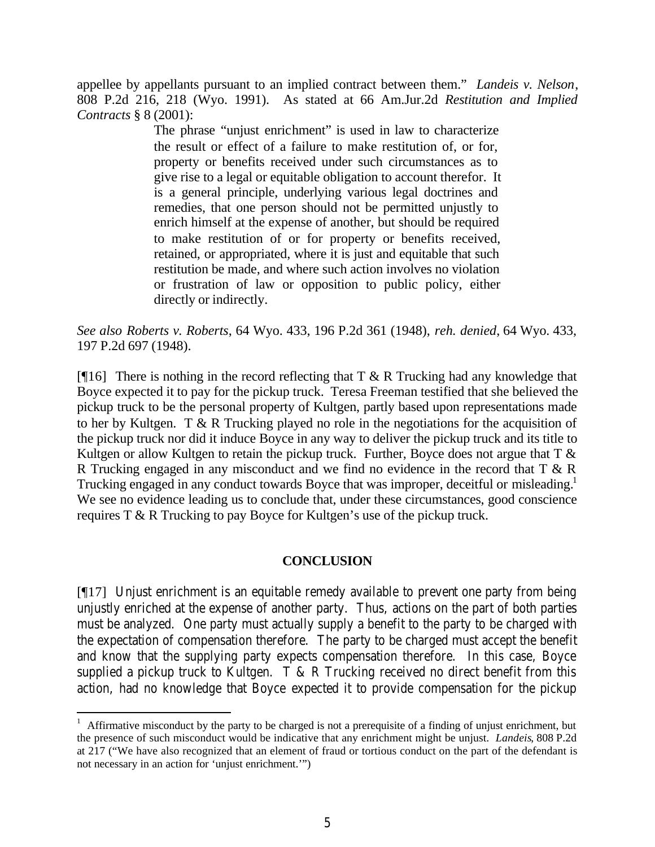appellee by appellants pursuant to an implied contract between them." *Landeis v. Nelson*, 808 P.2d 216, 218 (Wyo. 1991). As stated at 66 Am.Jur.2d *Restitution and Implied Contracts* § 8 (2001):

> The phrase "unjust enrichment" is used in law to characterize the result or effect of a failure to make restitution of, or for, property or benefits received under such circumstances as to give rise to a legal or equitable obligation to account therefor. It is a general principle, underlying various legal doctrines and remedies, that one person should not be permitted unjustly to enrich himself at the expense of another, but should be required to make restitution of or for property or benefits received, retained, or appropriated, where it is just and equitable that such restitution be made, and where such action involves no violation or frustration of law or opposition to public policy, either directly or indirectly.

*See also Roberts v. Roberts*, 64 Wyo. 433, 196 P.2d 361 (1948), *reh. denied*, 64 Wyo. 433, 197 P.2d 697 (1948).

[ $[$ [16] There is nothing in the record reflecting that T & R Trucking had any knowledge that Boyce expected it to pay for the pickup truck. Teresa Freeman testified that she believed the pickup truck to be the personal property of Kultgen, partly based upon representations made to her by Kultgen. T & R Trucking played no role in the negotiations for the acquisition of the pickup truck nor did it induce Boyce in any way to deliver the pickup truck and its title to Kultgen or allow Kultgen to retain the pickup truck. Further, Boyce does not argue that  $T \&$ R Trucking engaged in any misconduct and we find no evidence in the record that T & R Trucking engaged in any conduct towards Boyce that was improper, deceitful or misleading.<sup>1</sup> We see no evidence leading us to conclude that, under these circumstances, good conscience requires T & R Trucking to pay Boyce for Kultgen's use of the pickup truck.

### **CONCLUSION**

[¶17] Unjust enrichment is an equitable remedy available to prevent one party from being unjustly enriched at the expense of another party. Thus, actions on the part of both parties must be analyzed. One party must actually supply a benefit to the party to be charged with the expectation of compensation therefore. The party to be charged must accept the benefit and know that the supplying party expects compensation therefore. In this case, Boyce supplied a pickup truck to Kultgen.  $T \& R$  Trucking received no direct benefit from this action, had no knowledge that Boyce expected it to provide compensation for the pickup

<sup>&</sup>lt;sup>1</sup> Affirmative misconduct by the party to be charged is not a prerequisite of a finding of unjust enrichment, but the presence of such misconduct would be indicative that any enrichment might be unjust. *Landeis*, 808 P.2d at 217 ("We have also recognized that an element of fraud or tortious conduct on the part of the defendant is not necessary in an action for 'unjust enrichment.'")